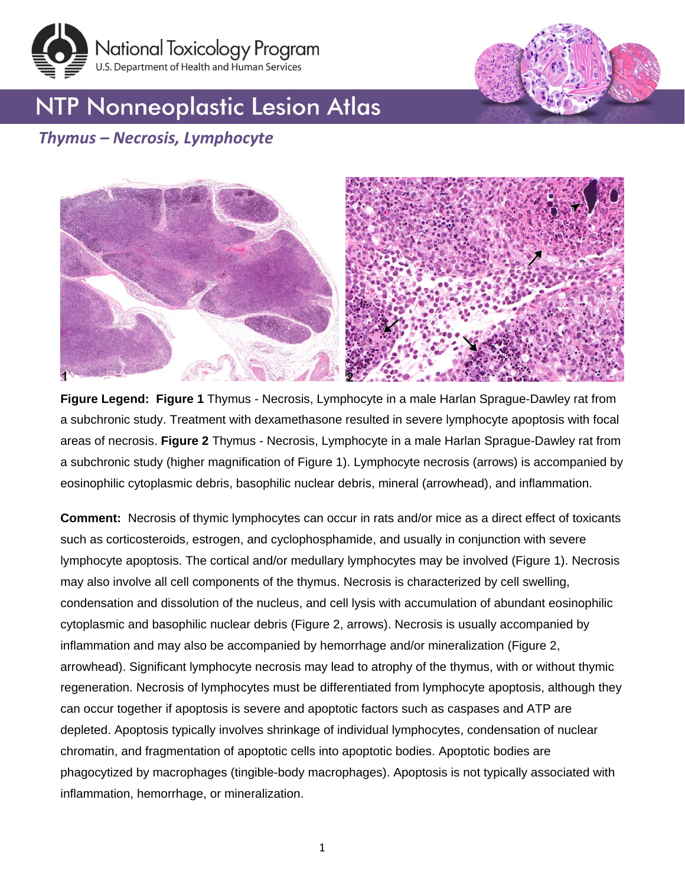



## **NTP Nonneoplastic Lesion Atlas**

## *Thymus – Necrosis, Lymphocyte*



**Figure Legend: Figure 1** Thymus - Necrosis, Lymphocyte in a male Harlan Sprague-Dawley rat from a subchronic study. Treatment with dexamethasone resulted in severe lymphocyte apoptosis with focal areas of necrosis. **Figure 2** Thymus - Necrosis, Lymphocyte in a male Harlan Sprague-Dawley rat from a subchronic study (higher magnification of Figure 1). Lymphocyte necrosis (arrows) is accompanied by eosinophilic cytoplasmic debris, basophilic nuclear debris, mineral (arrowhead), and inflammation.

**Comment:** Necrosis of thymic lymphocytes can occur in rats and/or mice as a direct effect of toxicants such as corticosteroids, estrogen, and cyclophosphamide, and usually in conjunction with severe lymphocyte apoptosis. The cortical and/or medullary lymphocytes may be involved (Figure 1). Necrosis may also involve all cell components of the thymus. Necrosis is characterized by cell swelling, condensation and dissolution of the nucleus, and cell lysis with accumulation of abundant eosinophilic cytoplasmic and basophilic nuclear debris (Figure 2, arrows). Necrosis is usually accompanied by inflammation and may also be accompanied by hemorrhage and/or mineralization (Figure 2, arrowhead). Significant lymphocyte necrosis may lead to atrophy of the thymus, with or without thymic regeneration. Necrosis of lymphocytes must be differentiated from lymphocyte apoptosis, although they can occur together if apoptosis is severe and apoptotic factors such as caspases and ATP are depleted. Apoptosis typically involves shrinkage of individual lymphocytes, condensation of nuclear chromatin, and fragmentation of apoptotic cells into apoptotic bodies. Apoptotic bodies are phagocytized by macrophages (tingible-body macrophages). Apoptosis is not typically associated with inflammation, hemorrhage, or mineralization.